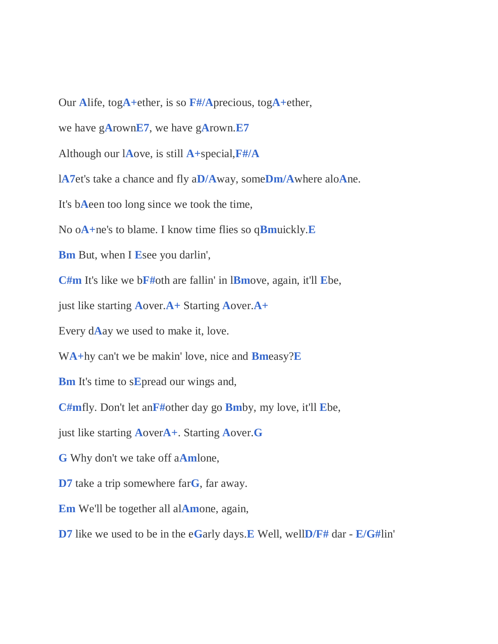Our **A**life, tog**A+**ether, is so **F#/A**precious, tog**A+**ether,

we have g**A**rown**E7**, we have g**A**rown.**E7**

Although our l**A**ove, is still **A+**special,**F#/A**

l**A7**et's take a chance and fly a**D/A**way, some**Dm/A**where alo**A**ne.

It's b**A**een too long since we took the time,

No o**A+**ne's to blame. I know time flies so q**Bm**uickly.**E**

**Bm** But, when I **E**see you darlin',

**C#m** It's like we b**F#**oth are fallin' in l**Bm**ove, again, it'll **E**be,

just like starting **A**over.**A+** Starting **A**over.**A+**

Every d**A**ay we used to make it, love.

W**A+**hy can't we be makin' love, nice and **Bm**easy?**E**

**Bm** It's time to s**E**pread our wings and,

**C#m**fly. Don't let an**F#**other day go **Bm**by, my love, it'll **E**be,

just like starting **A**over**A+**. Starting **A**over.**G**

**G** Why don't we take off a**Am**lone,

**D7** take a trip somewhere far**G**, far away.

**Em** We'll be together all al**Am**one, again,

**D7** like we used to be in the e**G**arly days.**E** Well, well**D/F#** dar - **E/G#**lin'